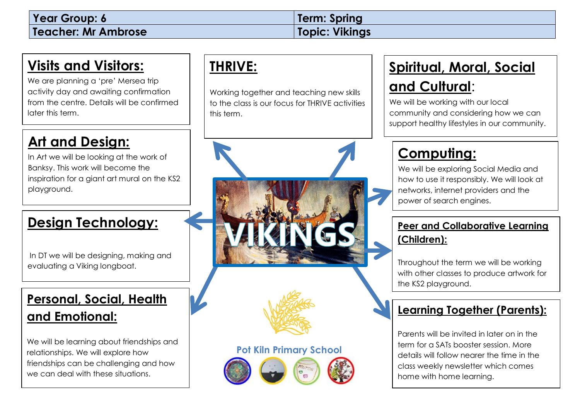#### **Visits and Visitors:**

We are planning a 'pre' Mersea trip activity day and awaiting confirmation from the centre. Details will be confirmed later this term.

#### **Art and Design:**

In Art we will be looking at the work of Banksy. This work will become the inspiration for a giant art mural on the KS2 playground.

#### **Design Technology:**

In DT we will be designing, making and evaluating a Viking longboat.

#### **Personal, Social, Health and Emotional:**

We will be learning about friendships and relationships. We will explore how friendships can be challenging and how we can deal with these situations.

#### **THRIVE:**

Working together and teaching new skills to the class is our focus for THRIVE activities this term.



# **Spiritual, Moral, Social**

#### **and Cultural**:

We will be working with our local community and considering how we can support healthy lifestyles in our community.

### **Computing:**

We will be exploring Social Media and how to use it responsibly. We will look at networks, internet providers and the power of search engines.

#### **Peer and Collaborative Learning (Children):**

Throughout the term we will be working with other classes to produce artwork for the KS2 playground.

#### **Learning Together (Parents):**

Parents will be invited in later on in the term for a SATs booster session. More details will follow nearer the time in the class weekly newsletter which comes home with home learning.